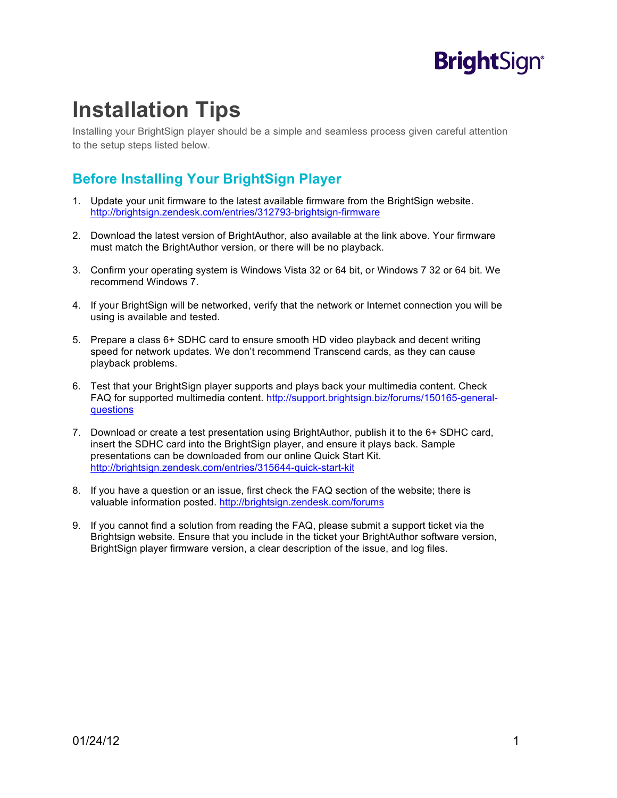## **Bright**Sign®

## **Installation Tips**

Installing your BrightSign player should be a simple and seamless process given careful attention to the setup steps listed below.

## **Before Installing Your BrightSign Player**

- 1. Update your unit firmware to the latest available firmware from the BrightSign website. http://brightsign.zendesk.com/entries/312793-brightsign-firmware
- 2. Download the latest version of BrightAuthor, also available at the link above. Your firmware must match the BrightAuthor version, or there will be no playback.
- 3. Confirm your operating system is Windows Vista 32 or 64 bit, or Windows 7 32 or 64 bit. We recommend Windows 7.
- 4. If your BrightSign will be networked, verify that the network or Internet connection you will be using is available and tested.
- 5. Prepare a class 6+ SDHC card to ensure smooth HD video playback and decent writing speed for network updates. We don't recommend Transcend cards, as they can cause playback problems.
- 6. Test that your BrightSign player supports and plays back your multimedia content. Check FAQ for supported multimedia content. http://support.brightsign.biz/forums/150165-generalquestions
- 7. Download or create a test presentation using BrightAuthor, publish it to the 6+ SDHC card, insert the SDHC card into the BrightSign player, and ensure it plays back. Sample presentations can be downloaded from our online Quick Start Kit. http://brightsign.zendesk.com/entries/315644-quick-start-kit
- 8. If you have a question or an issue, first check the FAQ section of the website; there is valuable information posted. http://brightsign.zendesk.com/forums
- 9. If you cannot find a solution from reading the FAQ, please submit a support ticket via the Brightsign website. Ensure that you include in the ticket your BrightAuthor software version, BrightSign player firmware version, a clear description of the issue, and log files.